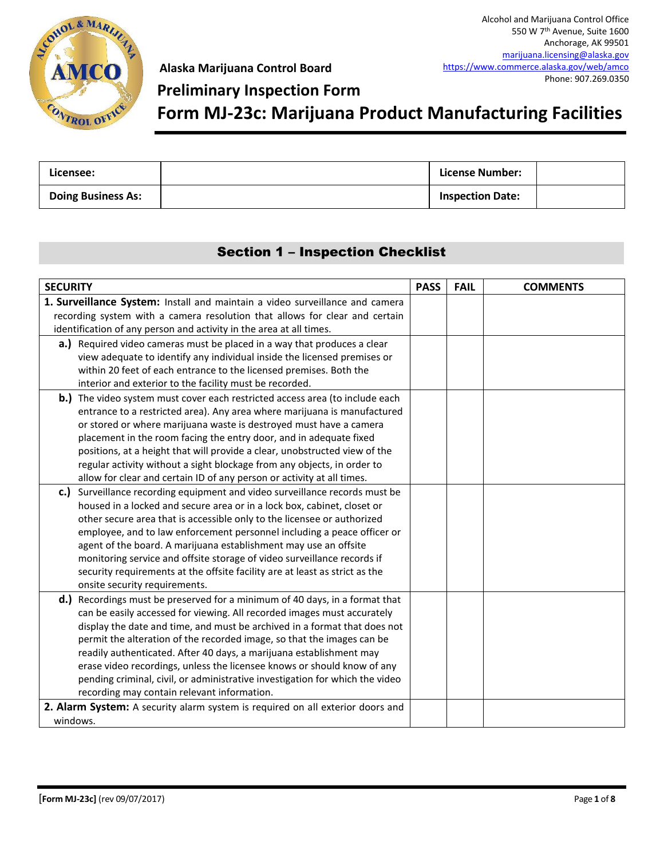

### **Preliminary Inspection Form**

**Form MJ-23c: Marijuana Product Manufacturing Facilities**

| Licensee:                 | License Number:         |  |
|---------------------------|-------------------------|--|
| <b>Doing Business As:</b> | <b>Inspection Date:</b> |  |

### Section 1 – Inspection Checklist

| <b>SECURITY</b>                                                                     | <b>PASS</b> | <b>FAIL</b> | <b>COMMENTS</b> |
|-------------------------------------------------------------------------------------|-------------|-------------|-----------------|
| 1. Surveillance System: Install and maintain a video surveillance and camera        |             |             |                 |
| recording system with a camera resolution that allows for clear and certain         |             |             |                 |
| identification of any person and activity in the area at all times.                 |             |             |                 |
| a.) Required video cameras must be placed in a way that produces a clear            |             |             |                 |
| view adequate to identify any individual inside the licensed premises or            |             |             |                 |
| within 20 feet of each entrance to the licensed premises. Both the                  |             |             |                 |
| interior and exterior to the facility must be recorded.                             |             |             |                 |
| <b>b.)</b> The video system must cover each restricted access area (to include each |             |             |                 |
| entrance to a restricted area). Any area where marijuana is manufactured            |             |             |                 |
| or stored or where marijuana waste is destroyed must have a camera                  |             |             |                 |
| placement in the room facing the entry door, and in adequate fixed                  |             |             |                 |
| positions, at a height that will provide a clear, unobstructed view of the          |             |             |                 |
| regular activity without a sight blockage from any objects, in order to             |             |             |                 |
| allow for clear and certain ID of any person or activity at all times.              |             |             |                 |
| c.) Surveillance recording equipment and video surveillance records must be         |             |             |                 |
| housed in a locked and secure area or in a lock box, cabinet, closet or             |             |             |                 |
| other secure area that is accessible only to the licensee or authorized             |             |             |                 |
| employee, and to law enforcement personnel including a peace officer or             |             |             |                 |
| agent of the board. A marijuana establishment may use an offsite                    |             |             |                 |
| monitoring service and offsite storage of video surveillance records if             |             |             |                 |
| security requirements at the offsite facility are at least as strict as the         |             |             |                 |
| onsite security requirements.                                                       |             |             |                 |
| d.) Recordings must be preserved for a minimum of 40 days, in a format that         |             |             |                 |
| can be easily accessed for viewing. All recorded images must accurately             |             |             |                 |
| display the date and time, and must be archived in a format that does not           |             |             |                 |
| permit the alteration of the recorded image, so that the images can be              |             |             |                 |
| readily authenticated. After 40 days, a marijuana establishment may                 |             |             |                 |
| erase video recordings, unless the licensee knows or should know of any             |             |             |                 |
| pending criminal, civil, or administrative investigation for which the video        |             |             |                 |
| recording may contain relevant information.                                         |             |             |                 |
| 2. Alarm System: A security alarm system is required on all exterior doors and      |             |             |                 |
| windows.                                                                            |             |             |                 |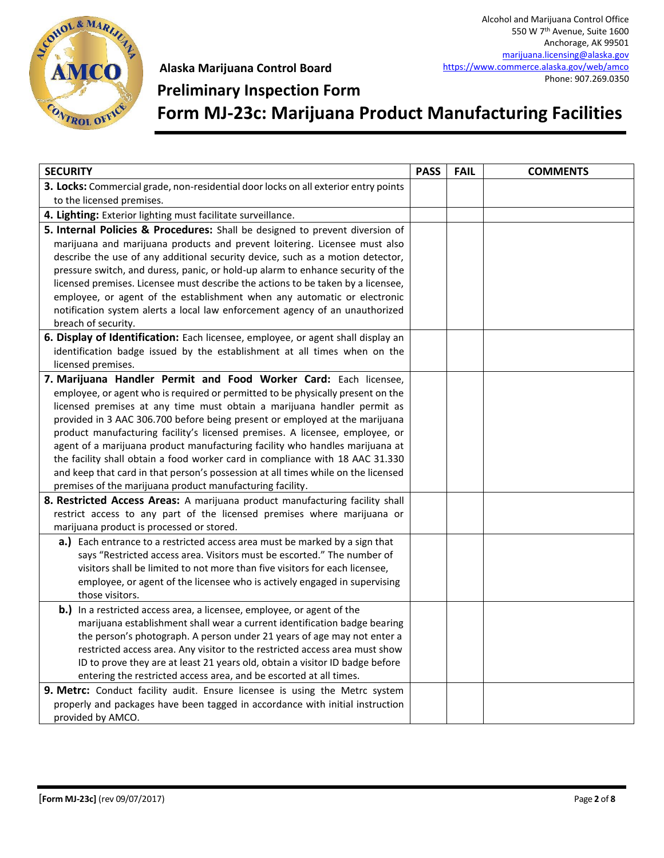

### **Preliminary Inspection Form**

**Form MJ-23c: Marijuana Product Manufacturing Facilities**

| <b>SECURITY</b>                                                                                                                                            | <b>PASS</b> | <b>FAIL</b> | <b>COMMENTS</b> |
|------------------------------------------------------------------------------------------------------------------------------------------------------------|-------------|-------------|-----------------|
| 3. Locks: Commercial grade, non-residential door locks on all exterior entry points                                                                        |             |             |                 |
| to the licensed premises.                                                                                                                                  |             |             |                 |
| 4. Lighting: Exterior lighting must facilitate surveillance.                                                                                               |             |             |                 |
| 5. Internal Policies & Procedures: Shall be designed to prevent diversion of                                                                               |             |             |                 |
| marijuana and marijuana products and prevent loitering. Licensee must also                                                                                 |             |             |                 |
| describe the use of any additional security device, such as a motion detector,                                                                             |             |             |                 |
| pressure switch, and duress, panic, or hold-up alarm to enhance security of the                                                                            |             |             |                 |
| licensed premises. Licensee must describe the actions to be taken by a licensee,                                                                           |             |             |                 |
| employee, or agent of the establishment when any automatic or electronic                                                                                   |             |             |                 |
| notification system alerts a local law enforcement agency of an unauthorized                                                                               |             |             |                 |
| breach of security.                                                                                                                                        |             |             |                 |
| 6. Display of Identification: Each licensee, employee, or agent shall display an                                                                           |             |             |                 |
| identification badge issued by the establishment at all times when on the                                                                                  |             |             |                 |
| licensed premises.                                                                                                                                         |             |             |                 |
| 7. Marijuana Handler Permit and Food Worker Card: Each licensee,                                                                                           |             |             |                 |
| employee, or agent who is required or permitted to be physically present on the<br>licensed premises at any time must obtain a marijuana handler permit as |             |             |                 |
| provided in 3 AAC 306.700 before being present or employed at the marijuana                                                                                |             |             |                 |
| product manufacturing facility's licensed premises. A licensee, employee, or                                                                               |             |             |                 |
| agent of a marijuana product manufacturing facility who handles marijuana at                                                                               |             |             |                 |
| the facility shall obtain a food worker card in compliance with 18 AAC 31.330                                                                              |             |             |                 |
| and keep that card in that person's possession at all times while on the licensed                                                                          |             |             |                 |
| premises of the marijuana product manufacturing facility.                                                                                                  |             |             |                 |
| 8. Restricted Access Areas: A marijuana product manufacturing facility shall                                                                               |             |             |                 |
| restrict access to any part of the licensed premises where marijuana or                                                                                    |             |             |                 |
| marijuana product is processed or stored.                                                                                                                  |             |             |                 |
| a.) Each entrance to a restricted access area must be marked by a sign that                                                                                |             |             |                 |
| says "Restricted access area. Visitors must be escorted." The number of                                                                                    |             |             |                 |
| visitors shall be limited to not more than five visitors for each licensee,                                                                                |             |             |                 |
| employee, or agent of the licensee who is actively engaged in supervising                                                                                  |             |             |                 |
| those visitors.                                                                                                                                            |             |             |                 |
| b.) In a restricted access area, a licensee, employee, or agent of the                                                                                     |             |             |                 |
| marijuana establishment shall wear a current identification badge bearing                                                                                  |             |             |                 |
| the person's photograph. A person under 21 years of age may not enter a                                                                                    |             |             |                 |
| restricted access area. Any visitor to the restricted access area must show                                                                                |             |             |                 |
| ID to prove they are at least 21 years old, obtain a visitor ID badge before                                                                               |             |             |                 |
| entering the restricted access area, and be escorted at all times.<br>9. Metrc: Conduct facility audit. Ensure licensee is using the Metrc system          |             |             |                 |
| properly and packages have been tagged in accordance with initial instruction                                                                              |             |             |                 |
| provided by AMCO.                                                                                                                                          |             |             |                 |
|                                                                                                                                                            |             |             |                 |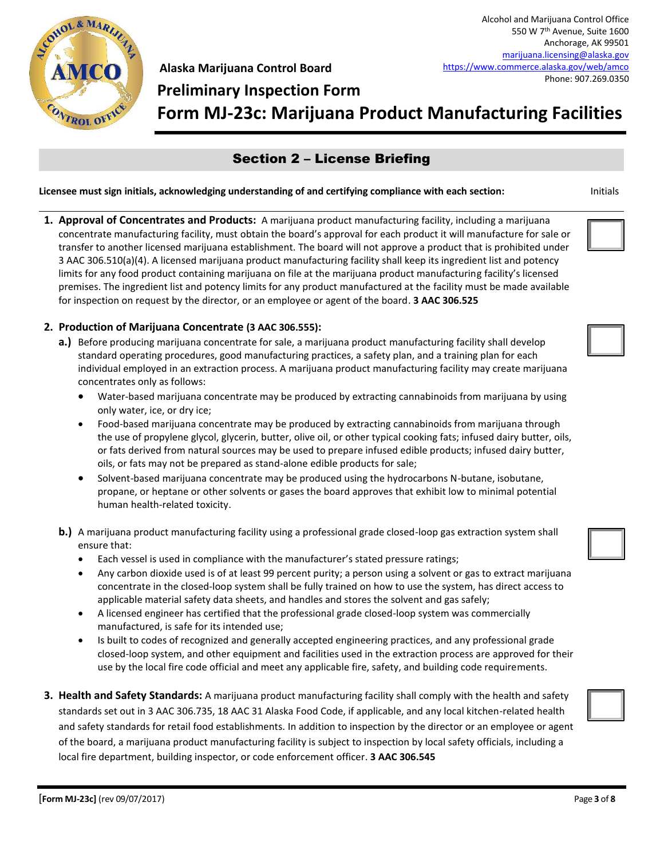

# **Preliminary Inspection Form Form MJ-23c: Marijuana Product Manufacturing Facilities**

### Section 2 – License Briefing

#### **Licensee must sign initials, acknowledging understanding of and certifying compliance with each section:** Initials

**1. Approval of Concentrates and Products:** A marijuana product manufacturing facility, including a marijuana concentrate manufacturing facility, must obtain the board's approval for each product it will manufacture for sale or transfer to another licensed marijuana establishment. The board will not approve a product that is prohibited under 3 AAC 306.510(a)(4). A licensed marijuana product manufacturing facility shall keep its ingredient list and potency limits for any food product containing marijuana on file at the marijuana product manufacturing facility's licensed premises. The ingredient list and potency limits for any product manufactured at the facility must be made available for inspection on request by the director, or an employee or agent of the board. **3 AAC 306.525**

#### **2. Production of Marijuana Concentrate (3 AAC 306.555):**

- **a.)** Before producing marijuana concentrate for sale, a marijuana product manufacturing facility shall develop standard operating procedures, good manufacturing practices, a safety plan, and a training plan for each individual employed in an extraction process. A marijuana product manufacturing facility may create marijuana concentrates only as follows:
	- Water-based marijuana concentrate may be produced by extracting cannabinoids from marijuana by using only water, ice, or dry ice;
	- Food-based marijuana concentrate may be produced by extracting cannabinoids from marijuana through the use of propylene glycol, glycerin, butter, olive oil, or other typical cooking fats; infused dairy butter, oils, or fats derived from natural sources may be used to prepare infused edible products; infused dairy butter, oils, or fats may not be prepared as stand-alone edible products for sale;
	- Solvent-based marijuana concentrate may be produced using the hydrocarbons N-butane, isobutane, propane, or heptane or other solvents or gases the board approves that exhibit low to minimal potential human health-related toxicity.
- **b.)** A marijuana product manufacturing facility using a professional grade closed-loop gas extraction system shall ensure that:
	- Each vessel is used in compliance with the manufacturer's stated pressure ratings;
	- Any carbon dioxide used is of at least 99 percent purity; a person using a solvent or gas to extract marijuana concentrate in the closed-loop system shall be fully trained on how to use the system, has direct access to applicable material safety data sheets, and handles and stores the solvent and gas safely;
	- A licensed engineer has certified that the professional grade closed-loop system was commercially manufactured, is safe for its intended use;
	- Is built to codes of recognized and generally accepted engineering practices, and any professional grade closed-loop system, and other equipment and facilities used in the extraction process are approved for their use by the local fire code official and meet any applicable fire, safety, and building code requirements.
- **3. Health and Safety Standards:** A marijuana product manufacturing facility shall comply with the health and safety standards set out in 3 AAC 306.735, 18 AAC 31 Alaska Food Code, if applicable, and any local kitchen-related health and safety standards for retail food establishments. In addition to inspection by the director or an employee or agent of the board, a marijuana product manufacturing facility is subject to inspection by local safety officials, including a local fire department, building inspector, or code enforcement officer. **3 AAC 306.545**



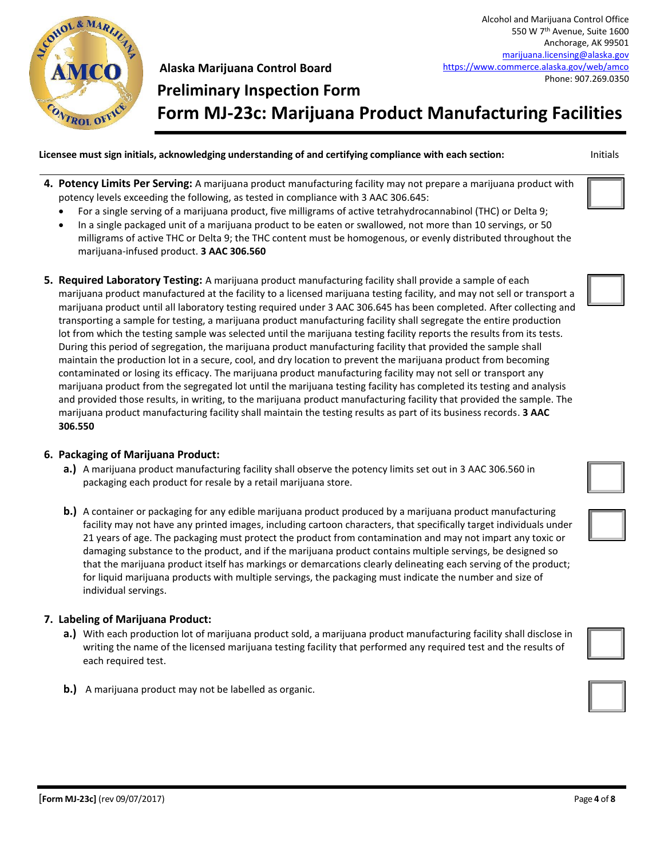

Alcohol and Marijuana Control Office 550 W 7th Avenue, Suite 1600 Anchorage, AK 99501 [marijuana.licensing@alaska.gov](mailto:marijuana.licensing@alaska.gov) <https://www.commerce.alaska.gov/web/amco> Phone: 907.269.0350

**Form MJ-23c: Marijuana Product Manufacturing Facilities**

**Licensee must sign initials, acknowledging understanding of and certifying compliance with each section:** Initials

**Preliminary Inspection Form**

- **4. Potency Limits Per Serving:** A marijuana product manufacturing facility may not prepare a marijuana product with potency levels exceeding the following, as tested in compliance with 3 AAC 306.645:
	- For a single serving of a marijuana product, five milligrams of active tetrahydrocannabinol (THC) or Delta 9;
	- In a single packaged unit of a marijuana product to be eaten or swallowed, not more than 10 servings, or 50 milligrams of active THC or Delta 9; the THC content must be homogenous, or evenly distributed throughout the marijuana-infused product. **3 AAC 306.560**
- **5. Required Laboratory Testing:** A marijuana product manufacturing facility shall provide a sample of each marijuana product manufactured at the facility to a licensed marijuana testing facility, and may not sell or transport a marijuana product until all laboratory testing required under 3 AAC 306.645 has been completed. After collecting and transporting a sample for testing, a marijuana product manufacturing facility shall segregate the entire production lot from which the testing sample was selected until the marijuana testing facility reports the results from its tests. During this period of segregation, the marijuana product manufacturing facility that provided the sample shall maintain the production lot in a secure, cool, and dry location to prevent the marijuana product from becoming contaminated or losing its efficacy. The marijuana product manufacturing facility may not sell or transport any marijuana product from the segregated lot until the marijuana testing facility has completed its testing and analysis and provided those results, in writing, to the marijuana product manufacturing facility that provided the sample. The marijuana product manufacturing facility shall maintain the testing results as part of its business records. **3 AAC 306.550**

#### **6. Packaging of Marijuana Product:**

- **a.)** A marijuana product manufacturing facility shall observe the potency limits set out in 3 AAC 306.560 in packaging each product for resale by a retail marijuana store.
- **b.)** A container or packaging for any edible marijuana product produced by a marijuana product manufacturing facility may not have any printed images, including cartoon characters, that specifically target individuals under 21 years of age. The packaging must protect the product from contamination and may not impart any toxic or damaging substance to the product, and if the marijuana product contains multiple servings, be designed so that the marijuana product itself has markings or demarcations clearly delineating each serving of the product; for liquid marijuana products with multiple servings, the packaging must indicate the number and size of individual servings.

#### **7. Labeling of Marijuana Product:**

- **a.)** With each production lot of marijuana product sold, a marijuana product manufacturing facility shall disclose in writing the name of the licensed marijuana testing facility that performed any required test and the results of each required test.
- **b.)** A marijuana product may not be labelled as organic.







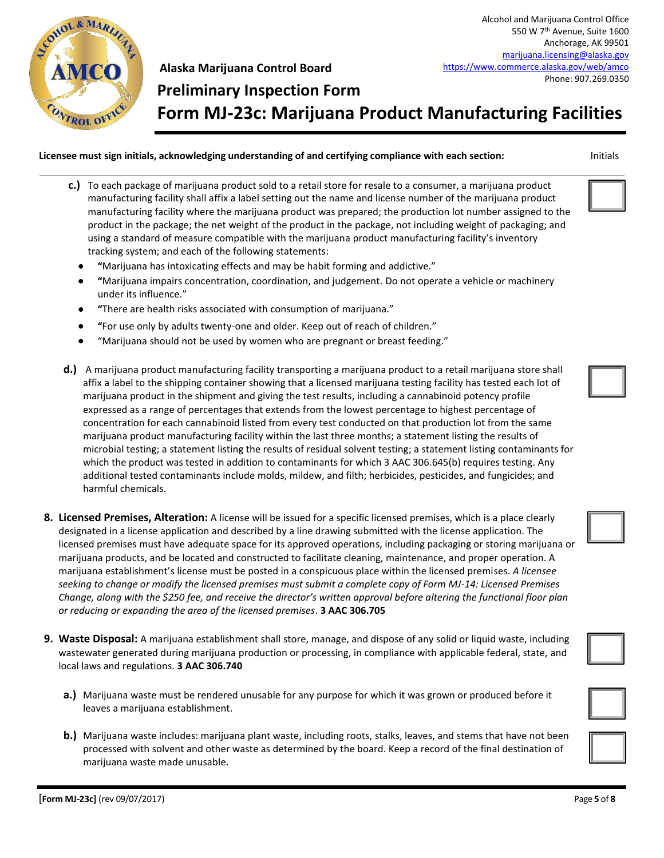

Alcohol and Marijuana Control Office 550 W 7th Avenue, Suite 1600 Anchorage, AK 99501 [marijuana.licensing@alaska.gov](mailto:marijuana.licensing@alaska.gov) <https://www.commerce.alaska.gov/web/amco> Phone: 907.269.0350

# **Preliminary Inspection Form Form MJ-23c: Marijuana Product Manufacturing Facilities**

**Licensee must sign initials, acknowledging understanding of and certifying compliance with each section:** Initials

- **c.)** To each package of marijuana product sold to a retail store for resale to a consumer, a marijuana product manufacturing facility shall affix a label setting out the name and license number of the marijuana product manufacturing facility where the marijuana product was prepared; the production lot number assigned to the product in the package; the net weight of the product in the package, not including weight of packaging; and using a standard of measure compatible with the marijuana product manufacturing facility's inventory tracking system; and each of the following statements:
	- **"**Marijuana has intoxicating effects and may be habit forming and addictive."
	- **"**Marijuana impairs concentration, coordination, and judgement. Do not operate a vehicle or machinery under its influence."
	- **"**There are health risks associated with consumption of marijuana."
	- **"**For use only by adults twenty-one and older. Keep out of reach of children."
	- "Marijuana should not be used by women who are pregnant or breast feeding."
- **d.)** A marijuana product manufacturing facility transporting a marijuana product to a retail marijuana store shall affix a label to the shipping container showing that a licensed marijuana testing facility has tested each lot of marijuana product in the shipment and giving the test results, including a cannabinoid potency profile expressed as a range of percentages that extends from the lowest percentage to highest percentage of concentration for each cannabinoid listed from every test conducted on that production lot from the same marijuana product manufacturing facility within the last three months; a statement listing the results of microbial testing; a statement listing the results of residual solvent testing; a statement listing contaminants for which the product was tested in addition to contaminants for which 3 AAC 306.645(b) requires testing. Any additional tested contaminants include molds, mildew, and filth; herbicides, pesticides, and fungicides; and harmful chemicals.
- **8. Licensed Premises, Alteration:** A license will be issued for a specific licensed premises, which is a place clearly designated in a license application and described by a line drawing submitted with the license application. The licensed premises must have adequate space for its approved operations, including packaging or storing marijuana or marijuana products, and be located and constructed to facilitate cleaning, maintenance, and proper operation. A marijuana establishment's license must be posted in a conspicuous place within the licensed premises. *A licensee seeking to change or modify the licensed premises must submit a complete copy of Form MJ-14: Licensed Premises Change, along with the \$250 fee, and receive the director's written approval before altering the functional floor plan or reducing or expanding the area of the licensed premises*. **3 AAC 306.705**
- **9. Waste Disposal:** A marijuana establishment shall store, manage, and dispose of any solid or liquid waste, including wastewater generated during marijuana production or processing, in compliance with applicable federal, state, and local laws and regulations. **3 AAC 306.740**
	- **a.)** Marijuana waste must be rendered unusable for any purpose for which it was grown or produced before it leaves a marijuana establishment.
	- **b.)** Marijuana waste includes: marijuana plant waste, including roots, stalks, leaves, and stems that have not been processed with solvent and other waste as determined by the board. Keep a record of the final destination of marijuana waste made unusable.











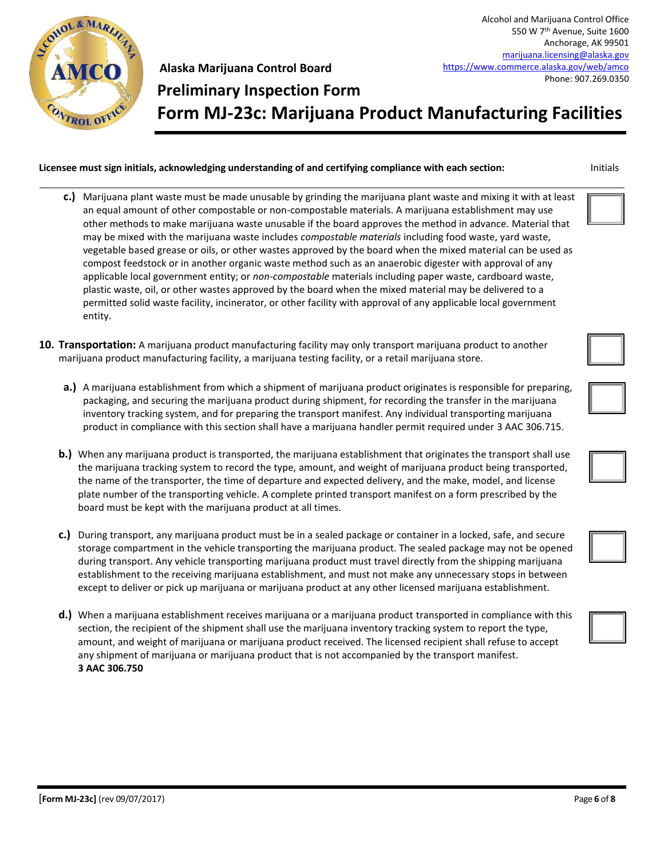

# **Preliminary Inspection Form Form MJ-23c: Marijuana Product Manufacturing Facilities**

#### **Licensee must sign initials, acknowledging understanding of and certifying compliance with each section:** Initials

- **c.)** Marijuana plant waste must be made unusable by grinding the marijuana plant waste and mixing it with at least an equal amount of other compostable or non-compostable materials. A marijuana establishment may use other methods to make marijuana waste unusable if the board approves the method in advance. Material that may be mixed with the marijuana waste includes *compostable materials* including food waste, yard waste, vegetable based grease or oils, or other wastes approved by the board when the mixed material can be used as compost feedstock or in another organic waste method such as an anaerobic digester with approval of any applicable local government entity; or *non-compostable* materials including paper waste, cardboard waste, plastic waste, oil, or other wastes approved by the board when the mixed material may be delivered to a permitted solid waste facility, incinerator, or other facility with approval of any applicable local government entity.
- **10. Transportation:** A marijuana product manufacturing facility may only transport marijuana product to another marijuana product manufacturing facility, a marijuana testing facility, or a retail marijuana store.
	- **a.)** A marijuana establishment from which a shipment of marijuana product originates is responsible for preparing, packaging, and securing the marijuana product during shipment, for recording the transfer in the marijuana inventory tracking system, and for preparing the transport manifest. Any individual transporting marijuana product in compliance with this section shall have a marijuana handler permit required under 3 AAC 306.715.
	- **b.)** When any marijuana product is transported, the marijuana establishment that originates the transport shall use the marijuana tracking system to record the type, amount, and weight of marijuana product being transported, the name of the transporter, the time of departure and expected delivery, and the make, model, and license plate number of the transporting vehicle. A complete printed transport manifest on a form prescribed by the board must be kept with the marijuana product at all times.
	- **c.)** During transport, any marijuana product must be in a sealed package or container in a locked, safe, and secure storage compartment in the vehicle transporting the marijuana product. The sealed package may not be opened during transport. Any vehicle transporting marijuana product must travel directly from the shipping marijuana establishment to the receiving marijuana establishment, and must not make any unnecessary stops in between except to deliver or pick up marijuana or marijuana product at any other licensed marijuana establishment.
	- **d.)** When a marijuana establishment receives marijuana or a marijuana product transported in compliance with this section, the recipient of the shipment shall use the marijuana inventory tracking system to report the type, amount, and weight of marijuana or marijuana product received. The licensed recipient shall refuse to accept any shipment of marijuana or marijuana product that is not accompanied by the transport manifest. **3 AAC 306.750**





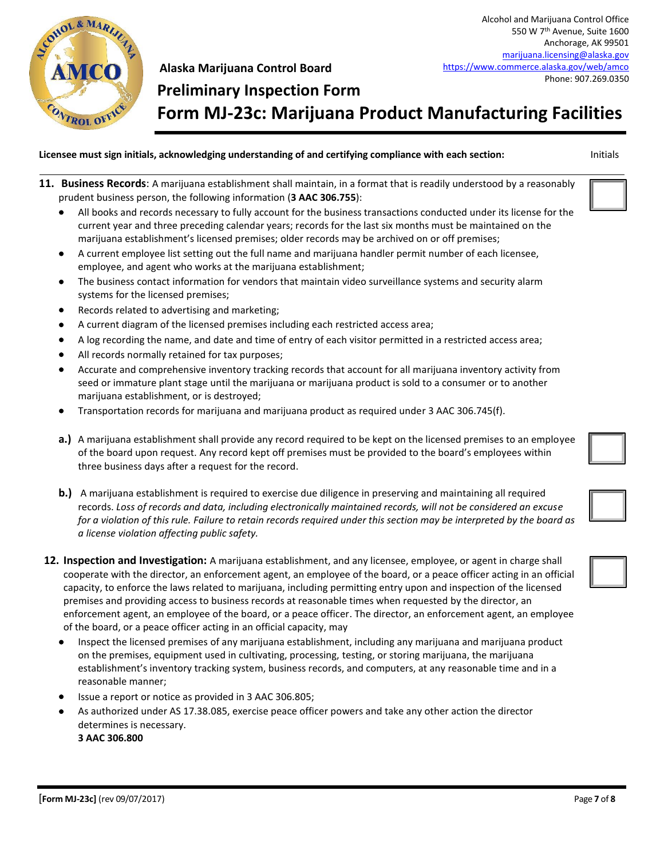

## **Preliminary Inspection Form Form MJ-23c: Marijuana Product Manufacturing Facilities**

- **11. Business Records**: A marijuana establishment shall maintain, in a format that is readily understood by a reasonably prudent business person, the following information (**3 AAC 306.755**):
	- All books and records necessary to fully account for the business transactions conducted under its license for the current year and three preceding calendar years; records for the last six months must be maintained on the marijuana establishment's licensed premises; older records may be archived on or off premises;
	- A current employee list setting out the full name and marijuana handler permit number of each licensee, employee, and agent who works at the marijuana establishment;
	- The business contact information for vendors that maintain video surveillance systems and security alarm systems for the licensed premises;
	- Records related to advertising and marketing;
	- A current diagram of the licensed premises including each restricted access area;
	- A log recording the name, and date and time of entry of each visitor permitted in a restricted access area;
	- All records normally retained for tax purposes;
	- Accurate and comprehensive inventory tracking records that account for all marijuana inventory activity from seed or immature plant stage until the marijuana or marijuana product is sold to a consumer or to another marijuana establishment, or is destroyed;
	- Transportation records for marijuana and marijuana product as required under 3 AAC 306.745(f).
	- **a.)** A marijuana establishment shall provide any record required to be kept on the licensed premises to an employee of the board upon request. Any record kept off premises must be provided to the board's employees within three business days after a request for the record.
	- **b.)** A marijuana establishment is required to exercise due diligence in preserving and maintaining all required records. *Loss of records and data, including electronically maintained records, will not be considered an excuse for a violation of this rule. Failure to retain records required under this section may be interpreted by the board as a license violation affecting public safety.*
- **12. Inspection and Investigation:** A marijuana establishment, and any licensee, employee, or agent in charge shall cooperate with the director, an enforcement agent, an employee of the board, or a peace officer acting in an official capacity, to enforce the laws related to marijuana, including permitting entry upon and inspection of the licensed premises and providing access to business records at reasonable times when requested by the director, an enforcement agent, an employee of the board, or a peace officer. The director, an enforcement agent, an employee of the board, or a peace officer acting in an official capacity, may
	- Inspect the licensed premises of any marijuana establishment, including any marijuana and marijuana product on the premises, equipment used in cultivating, processing, testing, or storing marijuana, the marijuana establishment's inventory tracking system, business records, and computers, at any reasonable time and in a reasonable manner;
	- Issue a report or notice as provided in 3 AAC 306.805;
	- As authorized under AS 17.38.085, exercise peace officer powers and take any other action the director determines is necessary. **3 AAC 306.800**